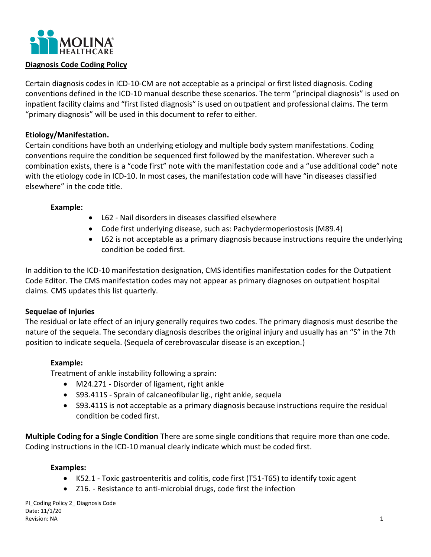

### **Diagnosis Code Coding Policy**

Certain diagnosis codes in ICD-10-CM are not acceptable as a principal or first listed diagnosis. Coding conventions defined in the ICD-10 manual describe these scenarios. The term "principal diagnosis" is used on inpatient facility claims and "first listed diagnosis" is used on outpatient and professional claims. The term "primary diagnosis" will be used in this document to refer to either.

# **Etiology/Manifestation.**

Certain conditions have both an underlying etiology and multiple body system manifestations. Coding conventions require the condition be sequenced first followed by the manifestation. Wherever such a combination exists, there is a "code first" note with the manifestation code and a "use additional code" note with the etiology code in ICD-10. In most cases, the manifestation code will have "in diseases classified elsewhere" in the code title.

### **Example:**

- L62 Nail disorders in diseases classified elsewhere
- Code first underlying disease, such as: Pachydermoperiostosis (M89.4)
- L62 is not acceptable as a primary diagnosis because instructions require the underlying condition be coded first.

In addition to the ICD-10 manifestation designation, CMS identifies manifestation codes for the Outpatient Code Editor. The CMS manifestation codes may not appear as primary diagnoses on outpatient hospital claims. CMS updates this list quarterly.

# **Sequelae of Injuries**

The residual or late effect of an injury generally requires two codes. The primary diagnosis must describe the nature of the sequela. The secondary diagnosis describes the original injury and usually has an "S" in the 7th position to indicate sequela. (Sequela of cerebrovascular disease is an exception.)

# **Example:**

Treatment of ankle instability following a sprain:

- M24.271 Disorder of ligament, right ankle
- S93.411S Sprain of calcaneofibular lig., right ankle, sequela
- S93.411S is not acceptable as a primary diagnosis because instructions require the residual condition be coded first.

**Multiple Coding for a Single Condition** There are some single conditions that require more than one code. Coding instructions in the ICD-10 manual clearly indicate which must be coded first.

#### **Examples:**

- K52.1 Toxic gastroenteritis and colitis, code first (T51-T65) to identify toxic agent
- Z16. Resistance to anti-microbial drugs, code first the infection

PI\_Coding Policy 2\_ Diagnosis Code Date: 11/1/20 Revision: NA 1